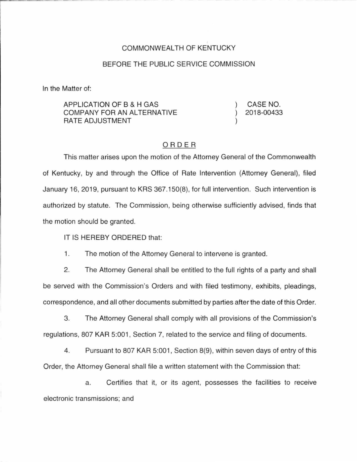## COMMONWEALTH OF KENTUCKY

## BEFORE THE PUBLIC SERVICE COMMISSION

In the Matter of:

APPLICATION OF B & H GAS COMPANY FOR AN ALTERNATIVE RATE ADJUSTMENT

CASE NO. 2018-00433

## ORDER

This matter arises upon the motion of the Attorney General of the Commonwealth of Kentucky, by and through the Office of Rate Intervention (Attorney General), filed January 16, 2019, pursuant to KRS 367.150(8), for full intervention. Such intervention is authorized by statute. The Commission, being otherwise sufficiently advised, finds that the motion should be granted.

IT IS HEREBY ORDERED that:

1. The motion of the Attorney General to intervene is granted.

2. The Attorney General shall be entitled to the full rights of a party and shall be served with the Commission's Orders and with filed testimony, exhibits, pleadings, correspondence, and all other documents submitted by parties after the date of this Order.

3. The Attorney General shall comply with all provisions of the Commission's regulations, 807 KAR 5:001, Section 7, related to the service and filing of documents.

4. Pursuant to 807 KAR 5:001 , Section 8(9), within seven days of entry of this Order, the Attorney General shall file a written statement with the Commission that:

a. Certifies that it, or its agent, possesses the facilities to receive electronic transmissions; and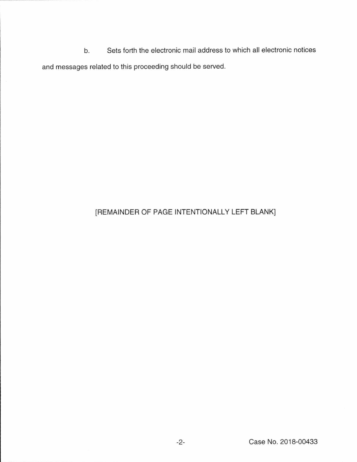b. Sets forth the electronic mail address to which all electronic notices and messages related to this proceeding should be served.

## [REMAINDER OF PAGE INTENTIONALLY LEFT BLANK]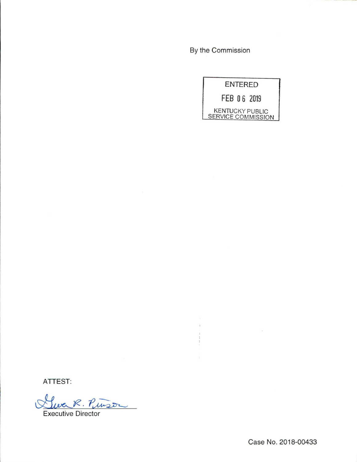By the Commission

 $\begin{array}{c} 0 \\ 0 \\ 0 \\ 0 \\ 0 \\ 0 \\ 0 \end{array}$ 

| <b>ENTERED</b>                               |  |
|----------------------------------------------|--|
| FEB 06 2019                                  |  |
| <b>KENTUCKY PUBLIC</b><br>SERVICE COMMISSION |  |

ATTEST:

Lluc R. Pinson

Case No. 2018-00433